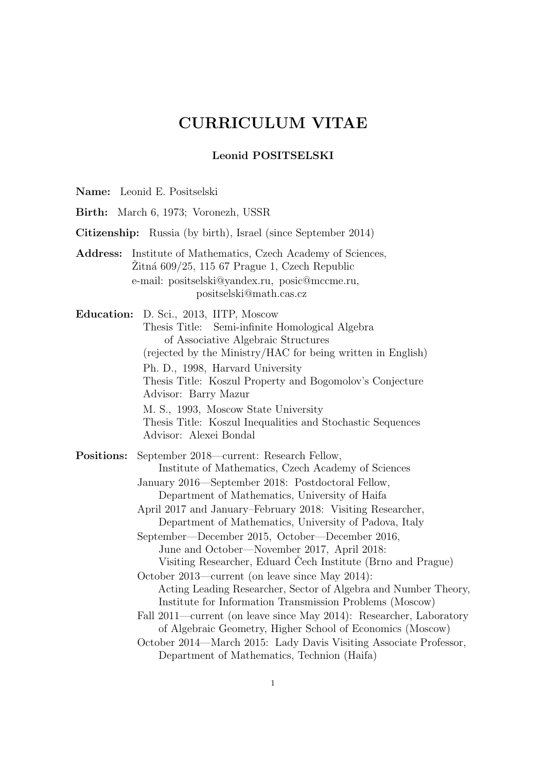# CURRICULUM VITAE

#### Leonid POSITSELSKI

| Name: Leonid E. Positselski |  |
|-----------------------------|--|
|-----------------------------|--|

Birth: March 6, 1973; Voronezh, USSR Citizenship: Russia (by birth), Israel (since September 2014) Address: Institute of Mathematics, Czech Academy of Sciences,  $Zitn\alpha$  609/25, 115 67 Prague 1, Czech Republic e-mail: positselski@yandex.ru, posic@mccme.ru, positselski@math.cas.cz Education: D. Sci., 2013, IITP, Moscow Thesis Title: Semi-infinite Homological Algebra of Associative Algebraic Structures (rejected by the Ministry/HAC for being written in English) Ph. D., 1998, Harvard University Thesis Title: Koszul Property and Bogomolov's Conjecture Advisor: Barry Mazur M. S., 1993, Moscow State University Thesis Title: Koszul Inequalities and Stochastic Sequences Advisor: Alexei Bondal Positions: September 2018—current: Research Fellow, Institute of Mathematics, Czech Academy of Sciences January 2016—September 2018: Postdoctoral Fellow, Department of Mathematics, University of Haifa April 2017 and January–February 2018: Visiting Researcher, Department of Mathematics, University of Padova, Italy September—December 2015, October—December 2016, June and October—November 2017, April 2018: Visiting Researcher, Eduard Cech Institute (Brno and Prague) October 2013—current (on leave since May 2014): Acting Leading Researcher, Sector of Algebra and Number Theory, Institute for Information Transmission Problems (Moscow) Fall 2011—current (on leave since May 2014): Researcher, Laboratory of Algebraic Geometry, Higher School of Economics (Moscow) October 2014—March 2015: Lady Davis Visiting Associate Professor, Department of Mathematics, Technion (Haifa)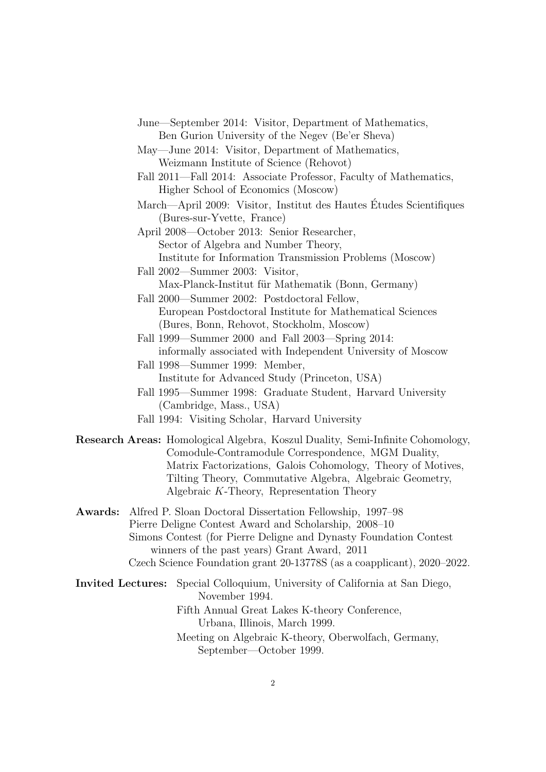- June—September 2014: Visitor, Department of Mathematics, Ben Gurion University of the Negev (Be'er Sheva)
- May—June 2014: Visitor, Department of Mathematics, Weizmann Institute of Science (Rehovot)
- Fall 2011—Fall 2014: Associate Professor, Faculty of Mathematics, Higher School of Economics (Moscow)
- March—April 2009: Visitor, Institut des Hautes Etudes Scientifiques ´ (Bures-sur-Yvette, France)
- April 2008—October 2013: Senior Researcher, Sector of Algebra and Number Theory, Institute for Information Transmission Problems (Moscow)
- Fall 2002—Summer 2003: Visitor, Max-Planck-Institut für Mathematik (Bonn, Germany)
- Fall 2000—Summer 2002: Postdoctoral Fellow, European Postdoctoral Institute for Mathematical Sciences (Bures, Bonn, Rehovot, Stockholm, Moscow)
- Fall 1999—Summer 2000 and Fall 2003—Spring 2014: informally associated with Independent University of Moscow
- Fall 1998—Summer 1999: Member, Institute for Advanced Study (Princeton, USA)
- Fall 1995—Summer 1998: Graduate Student, Harvard University (Cambridge, Mass., USA)
- Fall 1994: Visiting Scholar, Harvard University
- Research Areas: Homological Algebra, Koszul Duality, Semi-Infinite Cohomology, Comodule-Contramodule Correspondence, MGM Duality, Matrix Factorizations, Galois Cohomology, Theory of Motives, Tilting Theory, Commutative Algebra, Algebraic Geometry, Algebraic K-Theory, Representation Theory
- Awards: Alfred P. Sloan Doctoral Dissertation Fellowship, 1997–98 Pierre Deligne Contest Award and Scholarship, 2008–10 Simons Contest (for Pierre Deligne and Dynasty Foundation Contest winners of the past years) Grant Award, 2011 Czech Science Foundation grant 20-13778S (as a coapplicant), 2020–2022.
- Invited Lectures: Special Colloquium, University of California at San Diego, November 1994.

Fifth Annual Great Lakes K-theory Conference, Urbana, Illinois, March 1999. Meeting on Algebraic K-theory, Oberwolfach, Germany,

September—October 1999.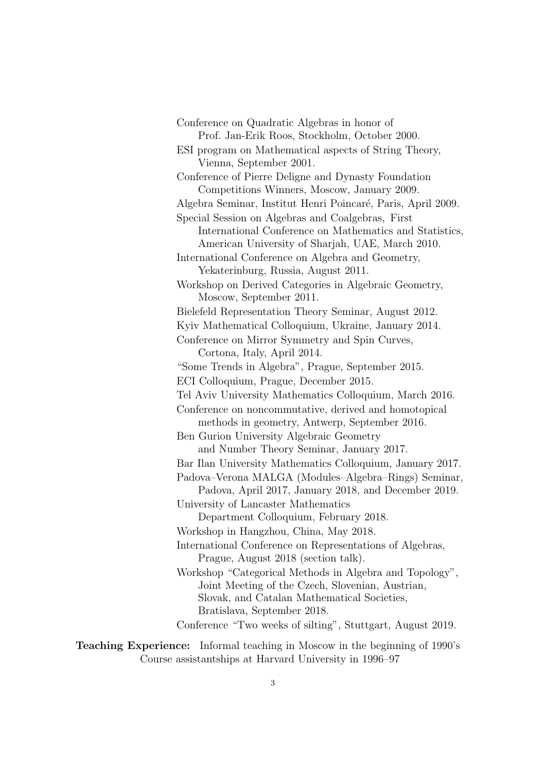Conference on Quadratic Algebras in honor of Prof. Jan-Erik Roos, Stockholm, October 2000. ESI program on Mathematical aspects of String Theory, Vienna, September 2001. Conference of Pierre Deligne and Dynasty Foundation Competitions Winners, Moscow, January 2009. Algebra Seminar, Institut Henri Poincar´e, Paris, April 2009. Special Session on Algebras and Coalgebras, First International Conference on Mathematics and Statistics, American University of Sharjah, UAE, March 2010. International Conference on Algebra and Geometry, Yekaterinburg, Russia, August 2011. Workshop on Derived Categories in Algebraic Geometry, Moscow, September 2011. Bielefeld Representation Theory Seminar, August 2012. Kyiv Mathematical Colloquium, Ukraine, January 2014. Conference on Mirror Symmetry and Spin Curves, Cortona, Italy, April 2014. "Some Trends in Algebra", Prague, September 2015. ECI Colloquium, Prague, December 2015. Tel Aviv University Mathematics Colloquium, March 2016. Conference on noncommutative, derived and homotopical methods in geometry, Antwerp, September 2016. Ben Gurion University Algebraic Geometry and Number Theory Seminar, January 2017. Bar Ilan University Mathematics Colloquium, January 2017. Padova–Verona MALGA (Modules–Algebra–Rings) Seminar, Padova, April 2017, January 2018, and December 2019. University of Lancaster Mathematics Department Colloquium, February 2018. Workshop in Hangzhou, China, May 2018. International Conference on Representations of Algebras, Prague, August 2018 (section talk). Workshop "Categorical Methods in Algebra and Topology", Joint Meeting of the Czech, Slovenian, Austrian, Slovak, and Catalan Mathematical Societies, Bratislava, September 2018. Conference "Two weeks of silting", Stuttgart, August 2019.

Teaching Experience: Informal teaching in Moscow in the beginning of 1990's Course assistantships at Harvard University in 1996–97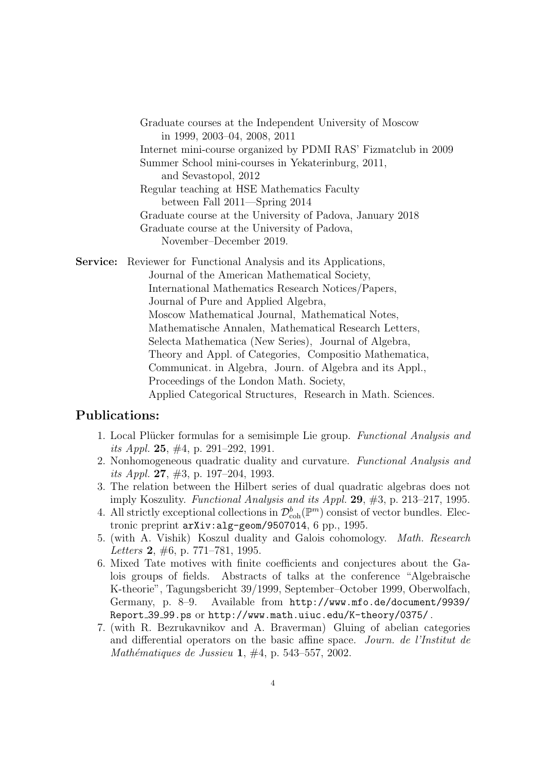Graduate courses at the Independent University of Moscow in 1999, 2003–04, 2008, 2011 Internet mini-course organized by PDMI RAS' Fizmatclub in 2009 Summer School mini-courses in Yekaterinburg, 2011, and Sevastopol, 2012 Regular teaching at HSE Mathematics Faculty between Fall 2011—Spring 2014 Graduate course at the University of Padova, January 2018 Graduate course at the University of Padova, November–December 2019.

Service: Reviewer for Functional Analysis and its Applications,

Journal of the American Mathematical Society, International Mathematics Research Notices/Papers, Journal of Pure and Applied Algebra, Moscow Mathematical Journal, Mathematical Notes, Mathematische Annalen, Mathematical Research Letters, Selecta Mathematica (New Series), Journal of Algebra, Theory and Appl. of Categories, Compositio Mathematica, Communicat. in Algebra, Journ. of Algebra and its Appl., Proceedings of the London Math. Society, Applied Categorical Structures, Research in Math. Sciences.

## Publications:

- 1. Local Plücker formulas for a semisimple Lie group. Functional Analysis and its Appl. 25,  $\#4$ , p. 291–292, 1991.
- 2. Nonhomogeneous quadratic duality and curvature. Functional Analysis and its Appl. 27,  $\#3$ , p. 197–204, 1993.
- 3. The relation between the Hilbert series of dual quadratic algebras does not imply Koszulity. Functional Analysis and its Appl. 29, #3, p. 213–217, 1995.
- 4. All strictly exceptional collections in  $\mathcal{D}_{\text{coh}}^b(\mathbb{P}^m)$  consist of vector bundles. Electronic preprint arXiv:alg-geom/9507014, 6 pp., 1995.
- 5. (with A. Vishik) Koszul duality and Galois cohomology. Math. Research Letters 2,  $\#6$ , p. 771–781, 1995.
- 6. Mixed Tate motives with finite coefficients and conjectures about the Galois groups of fields. Abstracts of talks at the conference "Algebraische K-theorie", Tagungsbericht 39/1999, September–October 1999, Oberwolfach, Germany, p. 8–9. Available from http://www.mfo.de/document/9939/ Report 39 99.ps or http://www.math.uiuc.edu/K-theory/0375/ .
- 7. (with R. Bezrukavnikov and A. Braverman) Gluing of abelian categories and differential operators on the basic affine space. Journ. de l'Institut de Mathématiques de Jussieu 1,  $\#4$ , p. 543–557, 2002.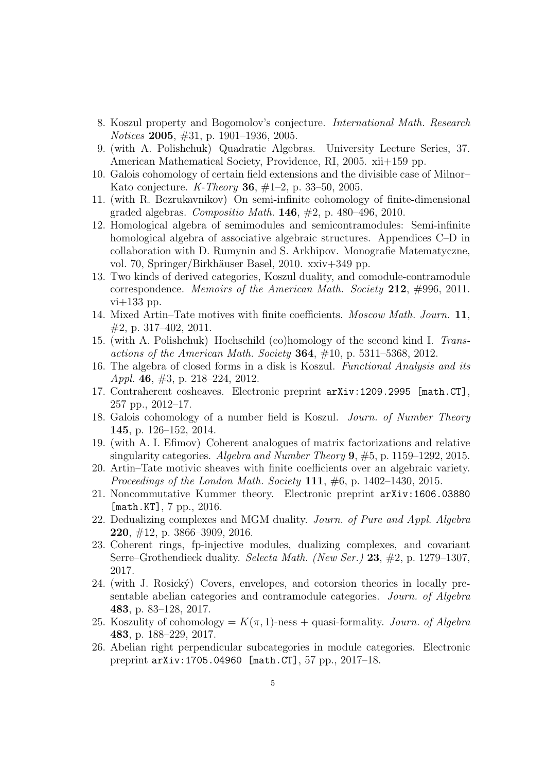- 8. Koszul property and Bogomolov's conjecture. International Math. Research Notices 2005, #31, p. 1901–1936, 2005.
- 9. (with A. Polishchuk) Quadratic Algebras. University Lecture Series, 37. American Mathematical Society, Providence, RI, 2005. xii+159 pp.
- 10. Galois cohomology of certain field extensions and the divisible case of Milnor– Kato conjecture. K-Theory 36, #1–2, p. 33–50, 2005.
- 11. (with R. Bezrukavnikov) On semi-infinite cohomology of finite-dimensional graded algebras. Compositio Math. **146**,  $\#2$ , p. 480–496, 2010.
- 12. Homological algebra of semimodules and semicontramodules: Semi-infinite homological algebra of associative algebraic structures. Appendices C–D in collaboration with D. Rumynin and S. Arkhipov. Monografie Matematyczne, vol. 70, Springer/Birkhäuser Basel, 2010. xxiv+349 pp.
- 13. Two kinds of derived categories, Koszul duality, and comodule-contramodule correspondence. Memoirs of the American Math. Society 212,  $\#996$ , 2011.  $vi+133$  pp.
- 14. Mixed Artin–Tate motives with finite coefficients. Moscow Math. Journ. 11, #2, p. 317–402, 2011.
- 15. (with A. Polishchuk) Hochschild (co)homology of the second kind I. Transactions of the American Math. Society **364**,  $\#10$ , p. 5311–5368, 2012.
- 16. The algebra of closed forms in a disk is Koszul. Functional Analysis and its Appl. 46, #3, p. 218–224, 2012.
- 17. Contraherent cosheaves. Electronic preprint arXiv:1209.2995 [math.CT], 257 pp., 2012–17.
- 18. Galois cohomology of a number field is Koszul. Journ. of Number Theory 145, p. 126–152, 2014.
- 19. (with A. I. Efimov) Coherent analogues of matrix factorizations and relative singularity categories. Algebra and Number Theory 9, #5, p. 1159–1292, 2015.
- 20. Artin–Tate motivic sheaves with finite coefficients over an algebraic variety. Proceedings of the London Math. Society 111,  $\#6$ , p. 1402–1430, 2015.
- 21. Noncommutative Kummer theory. Electronic preprint arXiv:1606.03880 [math.KT], 7 pp., 2016.
- 22. Dedualizing complexes and MGM duality. Journ. of Pure and Appl. Algebra 220, #12, p. 3866–3909, 2016.
- 23. Coherent rings, fp-injective modules, dualizing complexes, and covariant Serre–Grothendieck duality. Selecta Math. (New Ser.) 23, #2, p. 1279–1307, 2017.
- 24. (with J. Rosick´y) Covers, envelopes, and cotorsion theories in locally presentable abelian categories and contramodule categories. Journ. of Algebra 483, p. 83–128, 2017.
- 25. Koszulity of cohomology =  $K(\pi, 1)$ -ness + quasi-formality. Journ. of Algebra 483, p. 188–229, 2017.
- 26. Abelian right perpendicular subcategories in module categories. Electronic preprint arXiv:1705.04960 [math.CT], 57 pp., 2017–18.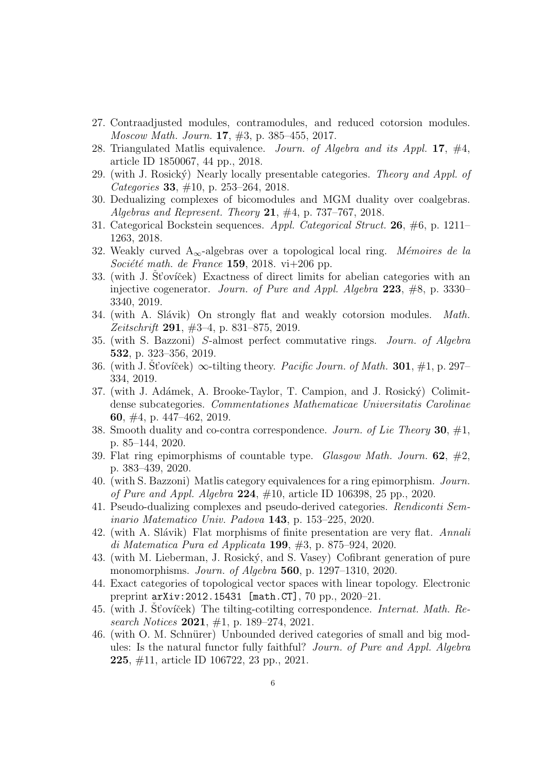- 27. Contraadjusted modules, contramodules, and reduced cotorsion modules. Moscow Math. Journ. 17, #3, p. 385–455, 2017.
- 28. Triangulated Matlis equivalence. Journ. of Algebra and its Appl. 17,  $\#4$ , article ID 1850067, 44 pp., 2018.
- 29. (with J. Rosický) Nearly locally presentable categories. Theory and Appl. of Categories 33, #10, p. 253–264, 2018.
- 30. Dedualizing complexes of bicomodules and MGM duality over coalgebras. Algebras and Represent. Theory 21,  $\#4$ , p. 737–767, 2018.
- 31. Categorical Bockstein sequences. Appl. Categorical Struct. 26, #6, p. 1211– 1263, 2018.
- 32. Weakly curved  $A_{\infty}$ -algebras over a topological local ring. Mémoires de la Société math. de France 159, 2018. vi $+206$  pp.
- $33.$  (with J. St'ov'icek) Exactness of direct limits for abelian categories with an injective cogenerator. Journ. of Pure and Appl. Algebra 223, #8, p. 3330– 3340, 2019.
- 34. (with A. Slávik) On strongly flat and weakly cotorsion modules. Math. Zeitschrift 291, #3–4, p. 831–875, 2019.
- 35. (with S. Bazzoni) S-almost perfect commutative rings. Journ. of Algebra 532, p. 323–356, 2019.
- 36. (with J. St'oviček)  $\infty$ -tilting theory. *Pacific Journ. of Math.* **301**, #1, p. 297– 334, 2019.
- 37. (with J. Adámek, A. Brooke-Taylor, T. Campion, and J. Rosický) Colimitdense subcategories. Commentationes Mathematicae Universitatis Carolinae 60, #4, p. 447–462, 2019.
- 38. Smooth duality and co-contra correspondence. Journ. of Lie Theory 30,  $\#1$ , p. 85–144, 2020.
- 39. Flat ring epimorphisms of countable type. *Glasgow Math. Journ.* 62,  $\#2$ , p. 383–439, 2020.
- 40. (with S. Bazzoni) Matlis category equivalences for a ring epimorphism. Journ. *of Pure and Appl. Algebra* 224,  $\#10$ , article ID 106398, 25 pp., 2020.
- 41. Pseudo-dualizing complexes and pseudo-derived categories. Rendiconti Seminario Matematico Univ. Padova 143, p. 153–225, 2020.
- 42. (with A. Slávik) Flat morphisms of finite presentation are very flat. Annali di Matematica Pura ed Applicata 199,  $#3$ , p. 875–924, 2020.
- 43. (with M. Lieberman, J. Rosick´y, and S. Vasey) Cofibrant generation of pure monomorphisms. Journ. of Algebra 560, p. 1297–1310, 2020.
- 44. Exact categories of topological vector spaces with linear topology. Electronic preprint arXiv:2012.15431 [math.CT], 70 pp., 2020–21.
- 45. (with J. St'oviček) The tilting-cotilting correspondence. *Internat. Math. Re*search Notices 2021,  $\#1$ , p. 189–274, 2021.
- 46. (with O. M. Schnürer) Unbounded derived categories of small and big modules: Is the natural functor fully faithful? Journ. of Pure and Appl. Algebra 225, #11, article ID 106722, 23 pp., 2021.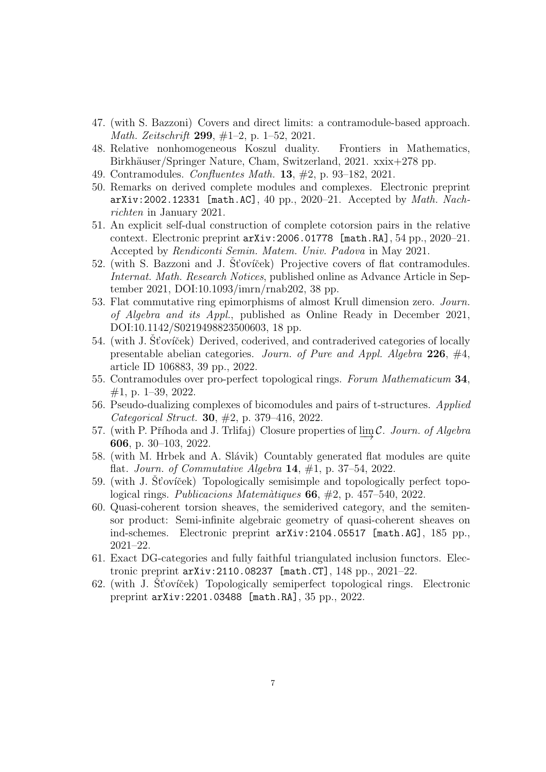- 47. (with S. Bazzoni) Covers and direct limits: a contramodule-based approach. Math. Zeitschrift 299, #1–2, p. 1–52, 2021.
- 48. Relative nonhomogeneous Koszul duality. Frontiers in Mathematics, Birkhäuser/Springer Nature, Cham, Switzerland, 2021. xxix+278 pp.
- 49. Contramodules. Confluentes Math. 13, #2, p. 93–182, 2021.
- 50. Remarks on derived complete modules and complexes. Electronic preprint  $arXiv: 2002.12331$  [math.AC], 40 pp., 2020–21. Accepted by *Math. Nach*richten in January 2021.
- 51. An explicit self-dual construction of complete cotorsion pairs in the relative context. Electronic preprint arXiv:2006.01778 [math.RA], 54 pp., 2020–21. Accepted by Rendiconti Semin. Matem. Univ. Padova in May 2021.
- 52. (with S. Bazzoni and J. St'ovíček) Projective covers of flat contramodules. Internat. Math. Research Notices, published online as Advance Article in September 2021, DOI:10.1093/imrn/rnab202, 38 pp.
- 53. Flat commutative ring epimorphisms of almost Krull dimension zero. Journ. of Algebra and its Appl., published as Online Ready in December 2021, DOI:10.1142/S0219498823500603, 18 pp.
- 54. (with J. St'oviček) Derived, coderived, and contraderived categories of locally presentable abelian categories. Journ. of Pure and Appl. Algebra 226, #4, article ID 106883, 39 pp., 2022.
- 55. Contramodules over pro-perfect topological rings. Forum Mathematicum 34, #1, p. 1–39, 2022.
- 56. Pseudo-dualizing complexes of bicomodules and pairs of t-structures. Applied Categorical Struct. 30, #2, p. 379–416, 2022.
- 57. (with P. Příhoda and J. Trlifaj) Closure properties of lim C. Journ. of Algebra 606, p. 30–103, 2022.
- 58. (with M. Hrbek and A. Slávik) Countably generated flat modules are quite flat. Journ. of Commutative Algebra 14,  $\#1$ , p. 37–54, 2022.
- 59. (with J. St'oviček) Topologically semisimple and topologically perfect topological rings. Publicacions Matemàtiques  $66, #2, p. 457–540, 2022$ .
- 60. Quasi-coherent torsion sheaves, the semiderived category, and the semitensor product: Semi-infinite algebraic geometry of quasi-coherent sheaves on ind-schemes. Electronic preprint arXiv:2104.05517 [math.AG], 185 pp., 2021–22.
- 61. Exact DG-categories and fully faithful triangulated inclusion functors. Electronic preprint arXiv:2110.08237 [math.CT], 148 pp., 2021–22.
- 62. (with J. St'ovíček) Topologically semiperfect topological rings. Electronic preprint arXiv:2201.03488 [math.RA], 35 pp., 2022.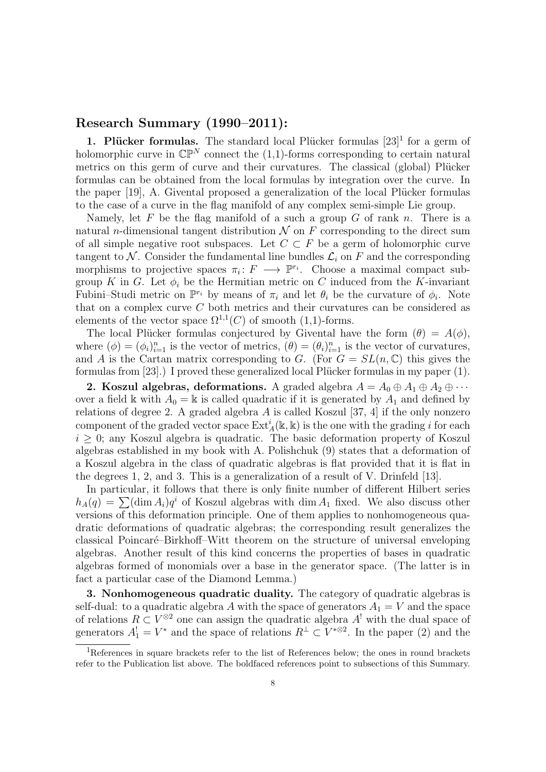### Research Summary (1990–2011):

1. Plücker formulas. The standard local Plücker formulas  $[23]$ <sup>1</sup> for a germ of holomorphic curve in  $\mathbb{CP}^N$  connect the (1,1)-forms corresponding to certain natural metrics on this germ of curve and their curvatures. The classical (global) Plücker formulas can be obtained from the local formulas by integration over the curve. In the paper  $[19]$ , A. Givental proposed a generalization of the local Plücker formulas to the case of a curve in the flag manifold of any complex semi-simple Lie group.

Namely, let F be the flag manifold of a such a group G of rank n. There is a natural *n*-dimensional tangent distribution  $\mathcal N$  on F corresponding to the direct sum of all simple negative root subspaces. Let  $C \subset F$  be a germ of holomorphic curve tangent to N. Consider the fundamental line bundles  $\mathcal{L}_i$  on F and the corresponding morphisms to projective spaces  $\pi_i: F \longrightarrow \mathbb{P}^{r_i}$ . Choose a maximal compact subgroup K in G. Let  $\phi_i$  be the Hermitian metric on C induced from the K-invariant Fubini–Studi metric on  $\mathbb{P}^{r_i}$  by means of  $\pi_i$  and let  $\theta_i$  be the curvature of  $\phi_i$ . Note that on a complex curve C both metrics and their curvatures can be considered as elements of the vector space  $\Omega^{1,1}(C)$  of smooth (1,1)-forms.

The local Plücker formulas conjectured by Givental have the form  $(\theta) = A(\phi)$ , where  $(\phi) = (\phi_i)_{i=1}^n$  is the vector of metrics,  $(\theta) = (\theta_i)_{i=1}^n$  is the vector of curvatures, and A is the Cartan matrix corresponding to G. (For  $G = SL(n, \mathbb{C})$  this gives the formulas from  $[23]$ .) I proved these generalized local Plücker formulas in my paper  $(1)$ .

2. Koszul algebras, deformations. A graded algebra  $A = A_0 \oplus A_1 \oplus A_2 \oplus \cdots$ over a field k with  $A_0 = \mathbb{k}$  is called quadratic if it is generated by  $A_1$  and defined by relations of degree 2. A graded algebra  $A$  is called Koszul [37, 4] if the only nonzero component of the graded vector space  $\mathrm{Ext}^i_A(\mathbb{k},\mathbb{k})$  is the one with the grading i for each  $i \geq 0$ ; any Koszul algebra is quadratic. The basic deformation property of Koszul algebras established in my book with A. Polishchuk (9) states that a deformation of a Koszul algebra in the class of quadratic algebras is flat provided that it is flat in the degrees 1, 2, and 3. This is a generalization of a result of V. Drinfeld [13].

In particular, it follows that there is only finite number of different Hilbert series  $h_A(q) = \sum (\dim A_i)q^i$  of Koszul algebras with dim  $A_1$  fixed. We also discuss other versions of this deformation principle. One of them applies to nonhomogeneous quadratic deformations of quadratic algebras; the corresponding result generalizes the classical Poincaré–Birkhoff–Witt theorem on the structure of universal enveloping algebras. Another result of this kind concerns the properties of bases in quadratic algebras formed of monomials over a base in the generator space. (The latter is in fact a particular case of the Diamond Lemma.)

3. Nonhomogeneous quadratic duality. The category of quadratic algebras is self-dual: to a quadratic algebra A with the space of generators  $A_1 = V$  and the space of relations  $R \subset V^{\otimes 2}$  one can assign the quadratic algebra  $A^!$  with the dual space of generators  $A_1^! = V^*$  and the space of relations  $R^{\perp} \subset V^{* \otimes 2}$ . In the paper (2) and the

<sup>&</sup>lt;sup>1</sup>References in square brackets refer to the list of References below; the ones in round brackets refer to the Publication list above. The boldfaced references point to subsections of this Summary.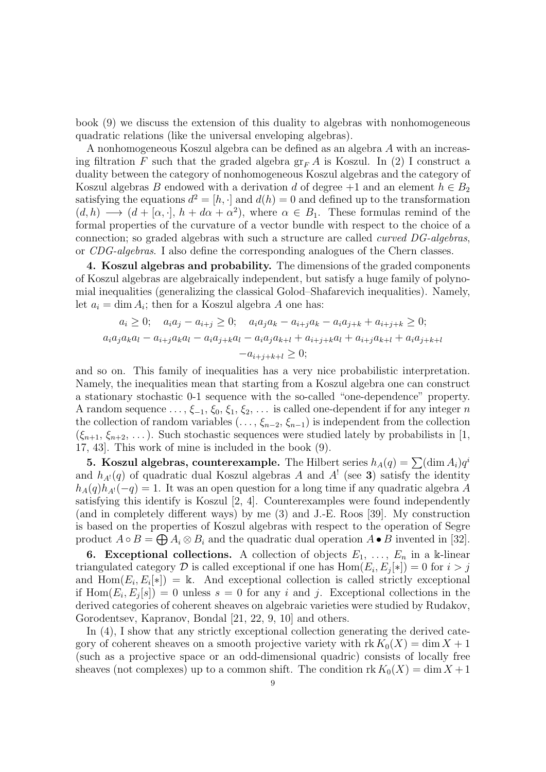book (9) we discuss the extension of this duality to algebras with nonhomogeneous quadratic relations (like the universal enveloping algebras).

A nonhomogeneous Koszul algebra can be defined as an algebra A with an increasing filtration F such that the graded algebra  $gr_F A$  is Koszul. In (2) I construct a duality between the category of nonhomogeneous Koszul algebras and the category of Koszul algebras B endowed with a derivation d of degree  $+1$  and an element  $h \in B_2$ satisfying the equations  $d^2 = [h, \cdot]$  and  $d(h) = 0$  and defined up to the transformation  $(d, h) \longrightarrow (d + [\alpha, \cdot], h + d\alpha + \alpha^2)$ , where  $\alpha \in B_1$ . These formulas remind of the formal properties of the curvature of a vector bundle with respect to the choice of a connection; so graded algebras with such a structure are called curved DG-algebras, or CDG-algebras. I also define the corresponding analogues of the Chern classes.

4. Koszul algebras and probability. The dimensions of the graded components of Koszul algebras are algebraically independent, but satisfy a huge family of polynomial inequalities (generalizing the classical Golod–Shafarevich inequalities). Namely, let  $a_i = \dim A_i$ ; then for a Koszul algebra A one has:

$$
a_i \ge 0; \quad a_i a_j - a_{i+j} \ge 0; \quad a_i a_j a_k - a_{i+j} a_k - a_i a_{j+k} + a_{i+j+k} \ge 0;
$$
  

$$
a_i a_j a_k a_l - a_{i+j} a_k a_l - a_i a_{j+k} a_l - a_i a_j a_{k+l} + a_{i+j+k} a_l + a_{i+j} a_{k+l} + a_i a_{j+k+l}
$$
  

$$
-a_{i+j+k+l} \ge 0;
$$

and so on. This family of inequalities has a very nice probabilistic interpretation. Namely, the inequalities mean that starting from a Koszul algebra one can construct a stationary stochastic 0-1 sequence with the so-called "one-dependence" property. A random sequence  $\ldots, \xi_{-1}, \xi_0, \xi_1, \xi_2, \ldots$  is called one-dependent if for any integer n the collection of random variables  $(\ldots, \xi_{n-2}, \xi_{n-1})$  is independent from the collection  $(\xi_{n+1}, \xi_{n+2}, \dots)$ . Such stochastic sequences were studied lately by probabilists in [1, 17, 43]. This work of mine is included in the book (9).

**5. Koszul algebras, counterexample.** The Hilbert series  $h_A(q) = \sum (\dim A_i)q^i$ and  $h_{A}(q)$  of quadratic dual Koszul algebras A and  $A^!$  (see 3) satisfy the identity  $h_A(q)h_{A}(q) = 1$ . It was an open question for a long time if any quadratic algebra A satisfying this identify is Koszul [2, 4]. Counterexamples were found independently (and in completely different ways) by me (3) and J.-E. Roos [39]. My construction is based on the properties of Koszul algebras with respect to the operation of Segre product  $A \circ B = \bigoplus A_i \otimes B_i$  and the quadratic dual operation  $A \bullet B$  invented in [32].

**6. Exceptional collections.** A collection of objects  $E_1, \ldots, E_n$  in a k-linear triangulated category  $\mathcal D$  is called exceptional if one has  $\text{Hom}(E_i, E_j[*]) = 0$  for  $i > j$ and  $\text{Hom}(E_i, E_i[\ast]) = \mathbb{k}$ . And exceptional collection is called strictly exceptional if  $\text{Hom}(E_i, E_j[s]) = 0$  unless  $s = 0$  for any i and j. Exceptional collections in the derived categories of coherent sheaves on algebraic varieties were studied by Rudakov, Gorodentsev, Kapranov, Bondal [21, 22, 9, 10] and others.

In (4), I show that any strictly exceptional collection generating the derived category of coherent sheaves on a smooth projective variety with  $\text{rk } K_0(X) = \dim X + 1$ (such as a projective space or an odd-dimensional quadric) consists of locally free sheaves (not complexes) up to a common shift. The condition  $\text{rk } K_0(X) = \dim X + 1$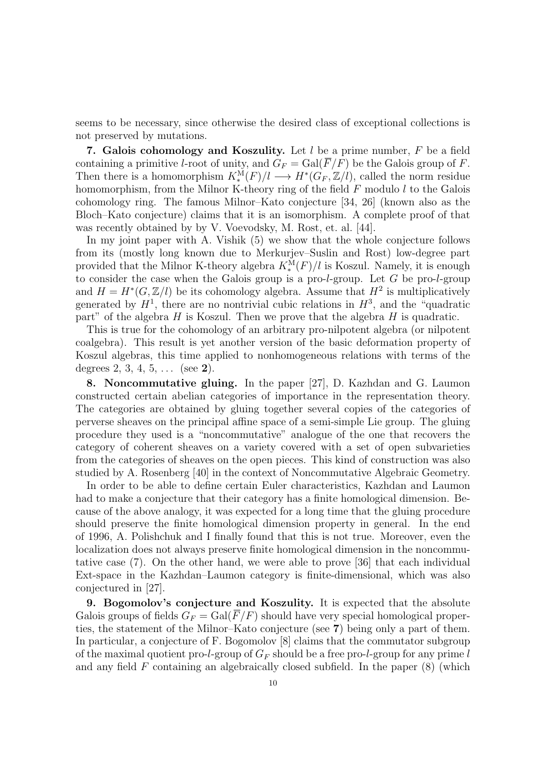seems to be necessary, since otherwise the desired class of exceptional collections is not preserved by mutations.

7. Galois cohomology and Koszulity. Let  $l$  be a prime number,  $F$  be a field containing a primitive *l*-root of unity, and  $G_F = \text{Gal}(\overline{F}/F)$  be the Galois group of F. Then there is a homomorphism  $K^{\tilde{M}}_*(F)/l \longrightarrow H^*(G_F, \mathbb{Z}/l)$ , called the norm residue homomorphism, from the Milnor K-theory ring of the field  $F$  modulo  $l$  to the Galois cohomology ring. The famous Milnor–Kato conjecture [34, 26] (known also as the Bloch–Kato conjecture) claims that it is an isomorphism. A complete proof of that was recently obtained by by V. Voevodsky, M. Rost, et. al. [44].

In my joint paper with A. Vishik (5) we show that the whole conjecture follows from its (mostly long known due to Merkurjev–Suslin and Rost) low-degree part provided that the Milnor K-theory algebra  $K^{\mathcal{M}}_*(F)/l$  is Koszul. Namely, it is enough to consider the case when the Galois group is a pro-l-group. Let  $G$  be pro-l-group and  $H = H^*(G, \mathbb{Z}/l)$  be its cohomology algebra. Assume that  $H^2$  is multiplicatively generated by  $H<sup>1</sup>$ , there are no nontrivial cubic relations in  $H<sup>3</sup>$ , and the "quadratic part" of the algebra  $H$  is Koszul. Then we prove that the algebra  $H$  is quadratic.

This is true for the cohomology of an arbitrary pro-nilpotent algebra (or nilpotent coalgebra). This result is yet another version of the basic deformation property of Koszul algebras, this time applied to nonhomogeneous relations with terms of the degrees  $2, 3, 4, 5, \ldots$  (see 2).

8. Noncommutative gluing. In the paper [27], D. Kazhdan and G. Laumon constructed certain abelian categories of importance in the representation theory. The categories are obtained by gluing together several copies of the categories of perverse sheaves on the principal affine space of a semi-simple Lie group. The gluing procedure they used is a "noncommutative" analogue of the one that recovers the category of coherent sheaves on a variety covered with a set of open subvarieties from the categories of sheaves on the open pieces. This kind of construction was also studied by A. Rosenberg [40] in the context of Noncommutative Algebraic Geometry.

In order to be able to define certain Euler characteristics, Kazhdan and Laumon had to make a conjecture that their category has a finite homological dimension. Because of the above analogy, it was expected for a long time that the gluing procedure should preserve the finite homological dimension property in general. In the end of 1996, A. Polishchuk and I finally found that this is not true. Moreover, even the localization does not always preserve finite homological dimension in the noncommutative case (7). On the other hand, we were able to prove [36] that each individual Ext-space in the Kazhdan–Laumon category is finite-dimensional, which was also conjectured in [27].

9. Bogomolov's conjecture and Koszulity. It is expected that the absolute Galois groups of fields  $G_F = \text{Gal}(\overline{F}/F)$  should have very special homological properties, the statement of the Milnor–Kato conjecture (see 7) being only a part of them. In particular, a conjecture of F. Bogomolov [8] claims that the commutator subgroup of the maximal quotient pro-l-group of  $G_F$  should be a free pro-l-group for any prime l and any field  $F$  containing an algebraically closed subfield. In the paper  $(8)$  (which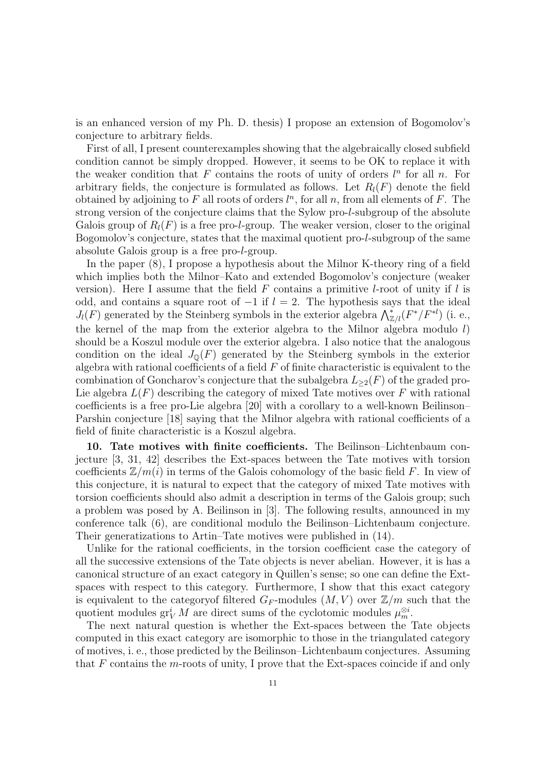is an enhanced version of my Ph. D. thesis) I propose an extension of Bogomolov's conjecture to arbitrary fields.

First of all, I present counterexamples showing that the algebraically closed subfield condition cannot be simply dropped. However, it seems to be OK to replace it with the weaker condition that  $F$  contains the roots of unity of orders  $l^n$  for all  $n$ . For arbitrary fields, the conjecture is formulated as follows. Let  $R_l(F)$  denote the field obtained by adjoining to  $F$  all roots of orders  $l^n$ , for all  $n$ , from all elements of  $F$ . The strong version of the conjecture claims that the Sylow pro-l-subgroup of the absolute Galois group of  $R_l(F)$  is a free pro-*l*-group. The weaker version, closer to the original Bogomolov's conjecture, states that the maximal quotient pro-l-subgroup of the same absolute Galois group is a free pro-l-group.

In the paper (8), I propose a hypothesis about the Milnor K-theory ring of a field which implies both the Milnor–Kato and extended Bogomolov's conjecture (weaker version). Here I assume that the field  $F$  contains a primitive l-root of unity if l is odd, and contains a square root of  $-1$  if  $l = 2$ . The hypothesis says that the ideal  $J_l(F)$  generated by the Steinberg symbols in the exterior algebra  $\bigwedge_{\mathbb{Z}/l}^*(F^*/F^{*l})$  (i. e., the kernel of the map from the exterior algebra to the Milnor algebra modulo l) should be a Koszul module over the exterior algebra. I also notice that the analogous condition on the ideal  $J_{\mathbb{Q}}(F)$  generated by the Steinberg symbols in the exterior algebra with rational coefficients of a field  $F$  of finite characteristic is equivalent to the combination of Goncharov's conjecture that the subalgebra  $L_{\geq 2}(F)$  of the graded pro-Lie algebra  $L(F)$  describing the category of mixed Tate motives over F with rational coefficients is a free pro-Lie algebra [20] with a corollary to a well-known Beilinson– Parshin conjecture [18] saying that the Milnor algebra with rational coefficients of a field of finite characteristic is a Koszul algebra.

10. Tate motives with finite coefficients. The Beilinson–Lichtenbaum conjecture [3, 31, 42] describes the Ext-spaces between the Tate motives with torsion coefficients  $\mathbb{Z}/m(i)$  in terms of the Galois cohomology of the basic field F. In view of this conjecture, it is natural to expect that the category of mixed Tate motives with torsion coefficients should also admit a description in terms of the Galois group; such a problem was posed by A. Beilinson in [3]. The following results, announced in my conference talk (6), are conditional modulo the Beilinson–Lichtenbaum conjecture. Their generatizations to Artin–Tate motives were published in (14).

Unlike for the rational coefficients, in the torsion coefficient case the category of all the successive extensions of the Tate objects is never abelian. However, it is has a canonical structure of an exact category in Quillen's sense; so one can define the Extspaces with respect to this category. Furthermore, I show that this exact category is equivalent to the category of filtered  $G_F$ -modules  $(M, V)$  over  $\mathbb{Z}/m$  such that the quotient modules  $\operatorname{gr}^i_V M$  are direct sums of the cyclotomic modules  $\mu_m^{\otimes i}$ .

The next natural question is whether the Ext-spaces between the Tate objects computed in this exact category are isomorphic to those in the triangulated category of motives, i. e., those predicted by the Beilinson–Lichtenbaum conjectures. Assuming that  $F$  contains the  $m$ -roots of unity, I prove that the Ext-spaces coincide if and only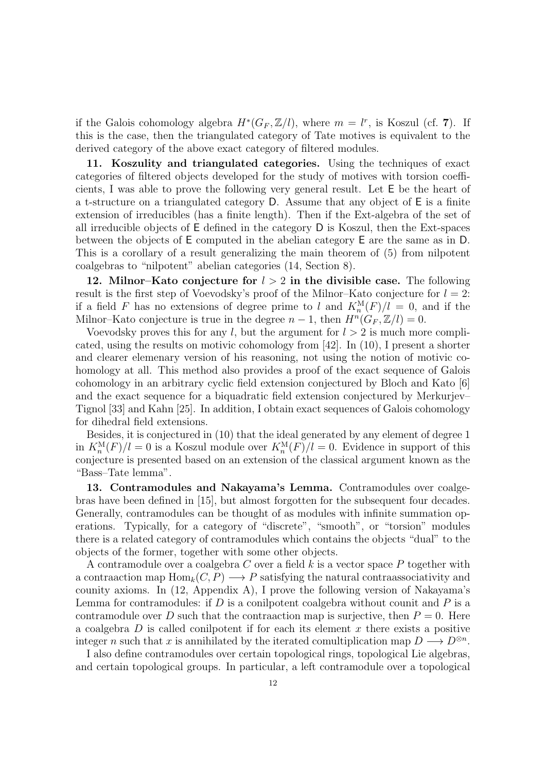if the Galois cohomology algebra  $H^*(G_F, \mathbb{Z}/l)$ , where  $m = l^r$ , is Koszul (cf. 7). If this is the case, then the triangulated category of Tate motives is equivalent to the derived category of the above exact category of filtered modules.

11. Koszulity and triangulated categories. Using the techniques of exact categories of filtered objects developed for the study of motives with torsion coefficients, I was able to prove the following very general result. Let E be the heart of a t-structure on a triangulated category D. Assume that any object of E is a finite extension of irreducibles (has a finite length). Then if the Ext-algebra of the set of all irreducible objects of E defined in the category D is Koszul, then the Ext-spaces between the objects of E computed in the abelian category E are the same as in D. This is a corollary of a result generalizing the main theorem of (5) from nilpotent coalgebras to "nilpotent" abelian categories (14, Section 8).

12. Milnor–Kato conjecture for  $l > 2$  in the divisible case. The following result is the first step of Voevodsky's proof of the Milnor–Kato conjecture for  $l = 2$ : if a field F has no extensions of degree prime to l and  $K_n^{\mathcal{M}}(F)/l = 0$ , and if the Milnor–Kato conjecture is true in the degree  $n-1$ , then  $H^{n}(G_F, \mathbb{Z}/l) = 0$ .

Voevodsky proves this for any l, but the argument for  $l > 2$  is much more complicated, using the results on motivic cohomology from [42]. In (10), I present a shorter and clearer elemenary version of his reasoning, not using the notion of motivic cohomology at all. This method also provides a proof of the exact sequence of Galois cohomology in an arbitrary cyclic field extension conjectured by Bloch and Kato [6] and the exact sequence for a biquadratic field extension conjectured by Merkurjev– Tignol [33] and Kahn [25]. In addition, I obtain exact sequences of Galois cohomology for dihedral field extensions.

Besides, it is conjectured in (10) that the ideal generated by any element of degree 1 in  $K_n^{\mathcal{M}}(F)/l = 0$  is a Koszul module over  $K_n^{\mathcal{M}}(F)/l = 0$ . Evidence in support of this conjecture is presented based on an extension of the classical argument known as the "Bass–Tate lemma".

13. Contramodules and Nakayama's Lemma. Contramodules over coalgebras have been defined in [15], but almost forgotten for the subsequent four decades. Generally, contramodules can be thought of as modules with infinite summation operations. Typically, for a category of "discrete", "smooth", or "torsion" modules there is a related category of contramodules which contains the objects "dual" to the objects of the former, together with some other objects.

A contramodule over a coalgebra C over a field k is a vector space P together with a contraaction map  $\text{Hom}_k(C, P) \longrightarrow P$  satisfying the natural contraassociativity and counity axioms. In (12, Appendix A), I prove the following version of Nakayama's Lemma for contramodules: if  $D$  is a conilpotent coalgebra without counit and  $P$  is a contramodule over D such that the contraaction map is surjective, then  $P = 0$ . Here a coalgebra  $D$  is called conilpotent if for each its element  $x$  there exists a positive integer n such that x is annihilated by the iterated comultiplication map  $D \longrightarrow D^{\otimes n}$ .

I also define contramodules over certain topological rings, topological Lie algebras, and certain topological groups. In particular, a left contramodule over a topological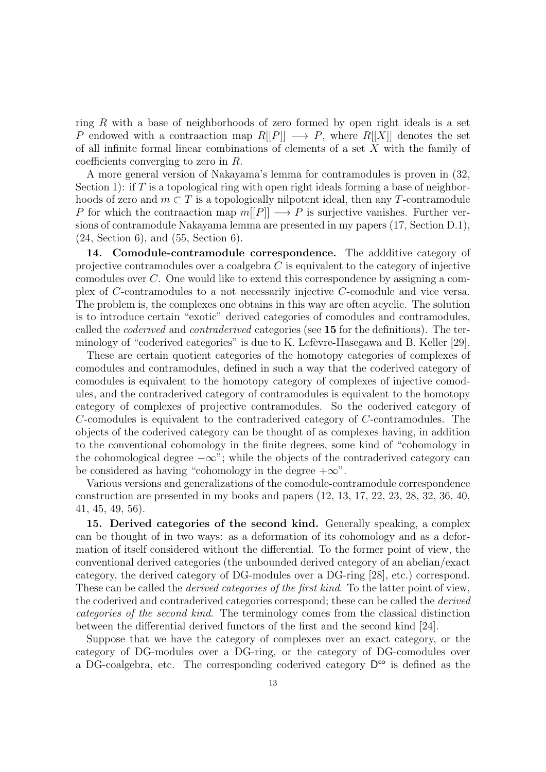ring R with a base of neighborhoods of zero formed by open right ideals is a set P endowed with a contraaction map  $R[[P]] \longrightarrow P$ , where  $R[[X]]$  denotes the set of all infinite formal linear combinations of elements of a set X with the family of coefficients converging to zero in R.

A more general version of Nakayama's lemma for contramodules is proven in (32, Section 1): if T is a topological ring with open right ideals forming a base of neighborhoods of zero and  $m \subset T$  is a topologically nilpotent ideal, then any T-contramodule P for which the contraaction map  $m[[P]] \longrightarrow P$  is surjective vanishes. Further versions of contramodule Nakayama lemma are presented in my papers (17, Section D.1), (24, Section 6), and (55, Section 6).

14. Comodule-contramodule correspondence. The addditive category of projective contramodules over a coalgebra  $C$  is equivalent to the category of injective comodules over C. One would like to extend this correspondence by assigning a complex of C-contramodules to a not necessarily injective C-comodule and vice versa. The problem is, the complexes one obtains in this way are often acyclic. The solution is to introduce certain "exotic" derived categories of comodules and contramodules, called the coderived and contraderived categories (see 15 for the definitions). The terminology of "coderived categories" is due to K. Lefèvre-Hasegawa and B. Keller  $[29]$ .

These are certain quotient categories of the homotopy categories of complexes of comodules and contramodules, defined in such a way that the coderived category of comodules is equivalent to the homotopy category of complexes of injective comodules, and the contraderived category of contramodules is equivalent to the homotopy category of complexes of projective contramodules. So the coderived category of C-comodules is equivalent to the contraderived category of C-contramodules. The objects of the coderived category can be thought of as complexes having, in addition to the conventional cohomology in the finite degrees, some kind of "cohomology in the cohomological degree  $-\infty$ "; while the objects of the contraderived category can be considered as having "cohomology in the degree  $+\infty$ ".

Various versions and generalizations of the comodule-contramodule correspondence construction are presented in my books and papers (12, 13, 17, 22, 23, 28, 32, 36, 40, 41, 45, 49, 56).

15. Derived categories of the second kind. Generally speaking, a complex can be thought of in two ways: as a deformation of its cohomology and as a deformation of itself considered without the differential. To the former point of view, the conventional derived categories (the unbounded derived category of an abelian/exact category, the derived category of DG-modules over a DG-ring [28], etc.) correspond. These can be called the *derived categories of the first kind*. To the latter point of view, the coderived and contraderived categories correspond; these can be called the derived categories of the second kind. The terminology comes from the classical distinction between the differential derived functors of the first and the second kind [24].

Suppose that we have the category of complexes over an exact category, or the category of DG-modules over a DG-ring, or the category of DG-comodules over a DG-coalgebra, etc. The corresponding coderived category  $D^{\infty}$  is defined as the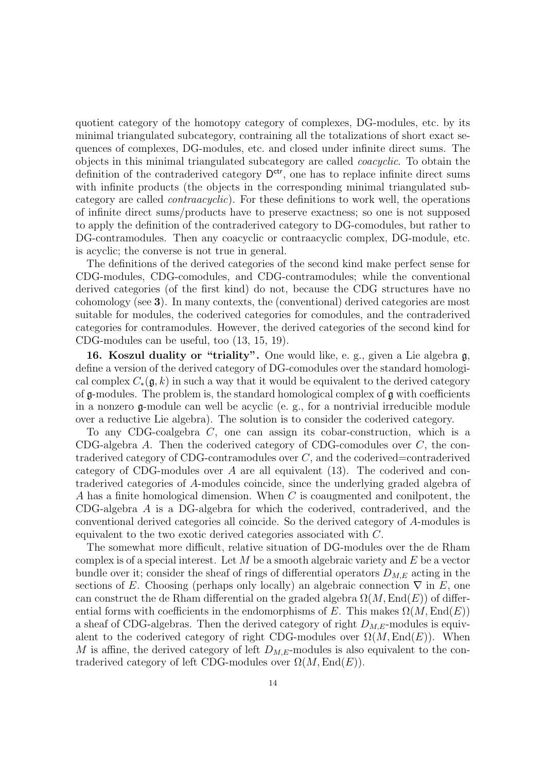quotient category of the homotopy category of complexes, DG-modules, etc. by its minimal triangulated subcategory, contraining all the totalizations of short exact sequences of complexes, DG-modules, etc. and closed under infinite direct sums. The objects in this minimal triangulated subcategory are called coacyclic. To obtain the definition of the contraderived category  $D^{ctr}$ , one has to replace infinite direct sums with infinite products (the objects in the corresponding minimal triangulated subcategory are called contraacyclic). For these definitions to work well, the operations of infinite direct sums/products have to preserve exactness; so one is not supposed to apply the definition of the contraderived category to DG-comodules, but rather to DG-contramodules. Then any coacyclic or contraacyclic complex, DG-module, etc. is acyclic; the converse is not true in general.

The definitions of the derived categories of the second kind make perfect sense for CDG-modules, CDG-comodules, and CDG-contramodules; while the conventional derived categories (of the first kind) do not, because the CDG structures have no cohomology (see 3). In many contexts, the (conventional) derived categories are most suitable for modules, the coderived categories for comodules, and the contraderived categories for contramodules. However, the derived categories of the second kind for CDG-modules can be useful, too (13, 15, 19).

16. Koszul duality or "triality". One would like, e. g., given a Lie algebra g, define a version of the derived category of DG-comodules over the standard homological complex  $C_*(\mathfrak{g},k)$  in such a way that it would be equivalent to the derived category of g-modules. The problem is, the standard homological complex of g with coefficients in a nonzero g-module can well be acyclic (e. g., for a nontrivial irreducible module over a reductive Lie algebra). The solution is to consider the coderived category.

To any CDG-coalgebra C, one can assign its cobar-construction, which is a CDG-algebra A. Then the coderived category of CDG-comodules over C, the contraderived category of CDG-contramodules over C, and the coderived=contraderived category of CDG-modules over A are all equivalent (13). The coderived and contraderived categories of A-modules coincide, since the underlying graded algebra of A has a finite homological dimension. When C is coaugmented and conilpotent, the CDG-algebra A is a DG-algebra for which the coderived, contraderived, and the conventional derived categories all coincide. So the derived category of A-modules is equivalent to the two exotic derived categories associated with C.

The somewhat more difficult, relative situation of DG-modules over the de Rham complex is of a special interest. Let  $M$  be a smooth algebraic variety and  $E$  be a vector bundle over it; consider the sheaf of rings of differential operators  $D_{M,E}$  acting in the sections of E. Choosing (perhaps only locally) an algebraic connection  $\nabla$  in E, one can construct the de Rham differential on the graded algebra  $\Omega(M, \text{End}(E))$  of differential forms with coefficients in the endomorphisms of E. This makes  $\Omega(M, \text{End}(E))$ a sheaf of CDG-algebras. Then the derived category of right  $D_{M,E}$ -modules is equivalent to the coderived category of right CDG-modules over  $\Omega(M, \text{End}(E))$ . When M is affine, the derived category of left  $D_{M,E}$ -modules is also equivalent to the contraderived category of left CDG-modules over  $\Omega(M,\mathrm{End}(E)).$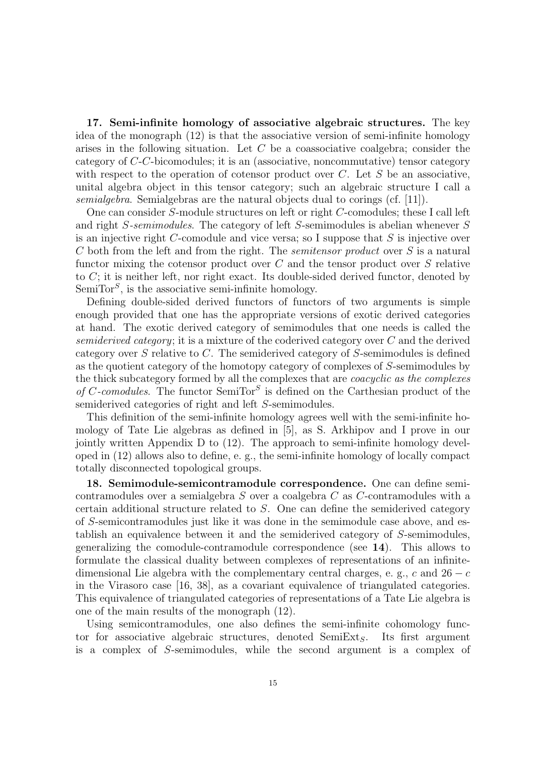17. Semi-infinite homology of associative algebraic structures. The key idea of the monograph (12) is that the associative version of semi-infinite homology arises in the following situation. Let C be a coassociative coalgebra; consider the category of C-C-bicomodules; it is an (associative, noncommutative) tensor category with respect to the operation of cotensor product over  $C$ . Let  $S$  be an associative, unital algebra object in this tensor category; such an algebraic structure I call a semialgebra. Semialgebras are the natural objects dual to corings (cf. [11]).

One can consider S-module structures on left or right C-comodules; these I call left and right S-semimodules. The category of left S-semimodules is abelian whenever S is an injective right C-comodule and vice versa; so I suppose that  $S$  is injective over C both from the left and from the right. The semitensor product over S is a natural functor mixing the cotensor product over C and the tensor product over S relative to C; it is neither left, nor right exact. Its double-sided derived functor, denoted by SemiTor<sup>S</sup>, is the associative semi-infinite homology.

Defining double-sided derived functors of functors of two arguments is simple enough provided that one has the appropriate versions of exotic derived categories at hand. The exotic derived category of semimodules that one needs is called the semiderived category; it is a mixture of the coderived category over  $C$  and the derived category over S relative to C. The semiderived category of S-semimodules is defined as the quotient category of the homotopy category of complexes of S-semimodules by the thick subcategory formed by all the complexes that are coacyclic as the complexes of C-comodules. The functor SemiTor<sup>S</sup> is defined on the Carthesian product of the semiderived categories of right and left S-semimodules.

This definition of the semi-infinite homology agrees well with the semi-infinite homology of Tate Lie algebras as defined in [5], as S. Arkhipov and I prove in our jointly written Appendix D to (12). The approach to semi-infinite homology developed in (12) allows also to define, e. g., the semi-infinite homology of locally compact totally disconnected topological groups.

18. Semimodule-semicontramodule correspondence. One can define semicontramodules over a semialgebra S over a coalgebra C as C-contramodules with a certain additional structure related to S. One can define the semiderived category of S-semicontramodules just like it was done in the semimodule case above, and establish an equivalence between it and the semiderived category of S-semimodules, generalizing the comodule-contramodule correspondence (see 14). This allows to formulate the classical duality between complexes of representations of an infinitedimensional Lie algebra with the complementary central charges, e. g., c and  $26 - c$ in the Virasoro case [16, 38], as a covariant equivalence of triangulated categories. This equivalence of triangulated categories of representations of a Tate Lie algebra is one of the main results of the monograph (12).

Using semicontramodules, one also defines the semi-infinite cohomology functor for associative algebraic structures, denoted  $SemiExt_S$ . Its first argument is a complex of S-semimodules, while the second argument is a complex of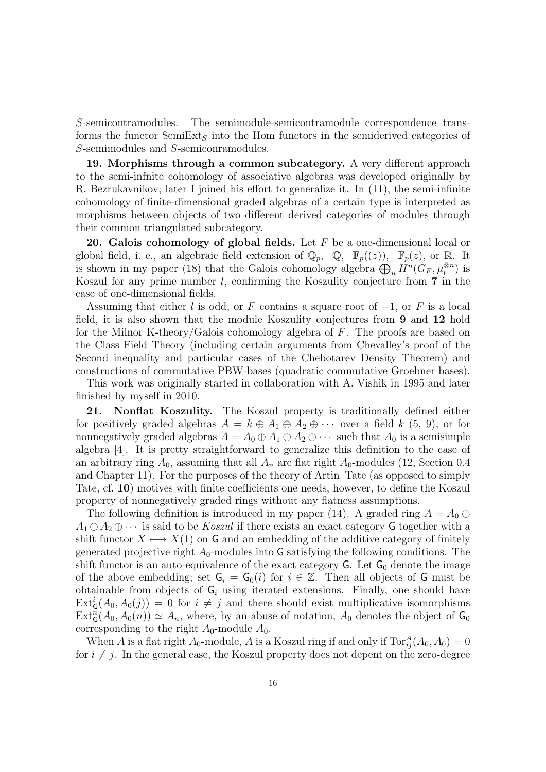S-semicontramodules. The semimodule-semicontramodule correspondence transforms the functor SemiExt<sub>s</sub> into the Hom functors in the semiderived categories of S-semimodules and S-semiconramodules.

19. Morphisms through a common subcategory. A very different approach to the semi-infnite cohomology of associative algebras was developed originally by R. Bezrukavnikov; later I joined his effort to generalize it. In (11), the semi-infinite cohomology of finite-dimensional graded algebras of a certain type is interpreted as morphisms between objects of two different derived categories of modules through their common triangulated subcategory.

20. Galois cohomology of global fields. Let  $F$  be a one-dimensional local or global field, i. e., an algebraic field extension of  $\mathbb{Q}_p$ ,  $\mathbb{Q}$ ,  $\mathbb{F}_p((z))$ ,  $\mathbb{F}_p(z)$ , or R. It is shown in my paper (18) that the Galois cohomology algebra  $\bigoplus_n H^n(G_F, \mu_l^{\otimes n})$  is Koszul for any prime number  $l$ , confirming the Koszulity conjecture from  $7$  in the case of one-dimensional fields.

Assuming that either l is odd, or F contains a square root of  $-1$ , or F is a local field, it is also shown that the module Koszulity conjectures from 9 and 12 hold for the Milnor K-theory/Galois cohomology algebra of F. The proofs are based on the Class Field Theory (including certain arguments from Chevalley's proof of the Second inequality and particular cases of the Chebotarev Density Theorem) and constructions of commutative PBW-bases (quadratic commutative Groebner bases).

This work was originally started in collaboration with A. Vishik in 1995 and later finished by myself in 2010.

21. Nonflat Koszulity. The Koszul property is traditionally defined either for positively graded algebras  $A = k \oplus A_1 \oplus A_2 \oplus \cdots$  over a field k  $(5, 9)$ , or for nonnegatively graded algebras  $A = A_0 \oplus A_1 \oplus A_2 \oplus \cdots$  such that  $A_0$  is a semisimple algebra [4]. It is pretty straightforward to generalize this definition to the case of an arbitrary ring  $A_0$ , assuming that all  $A_n$  are flat right  $A_0$ -modules (12, Section 0.4 and Chapter 11). For the purposes of the theory of Artin–Tate (as opposed to simply Tate, cf. 10) motives with finite coefficients one needs, however, to define the Koszul property of nonnegatively graded rings without any flatness assumptions.

The following definition is introduced in my paper (14). A graded ring  $A = A_0 \oplus$  $A_1 \oplus A_2 \oplus \cdots$  is said to be Koszul if there exists an exact category G together with a shift functor  $X \mapsto X(1)$  on G and an embedding of the additive category of finitely generated projective right  $A_0$ -modules into G satisfying the following conditions. The shift functor is an auto-equivalence of the exact category  $G$ . Let  $G_0$  denote the image of the above embedding; set  $G_i = G_0(i)$  for  $i \in \mathbb{Z}$ . Then all objects of G must be obtainable from objects of  $G_i$  using iterated extensions. Finally, one should have  $\text{Ext}_{\mathsf{G}}^{i}(A_0, A_0(j)) = 0$  for  $i \neq j$  and there should exist multiplicative isomorphisms  $\text{Ext}_{\mathsf{G}}^{n}(A_0, A_0(n)) \simeq A_n$ , where, by an abuse of notation,  $A_0$  denotes the object of  $\mathsf{G}_0$ corresponding to the right  $A_0$ -module  $A_0$ .

When A is a flat right  $A_0$ -module, A is a Koszul ring if and only if  $\text{Tor}_{ij}^A(A_0, A_0) = 0$ for  $i \neq j$ . In the general case, the Koszul property does not depent on the zero-degree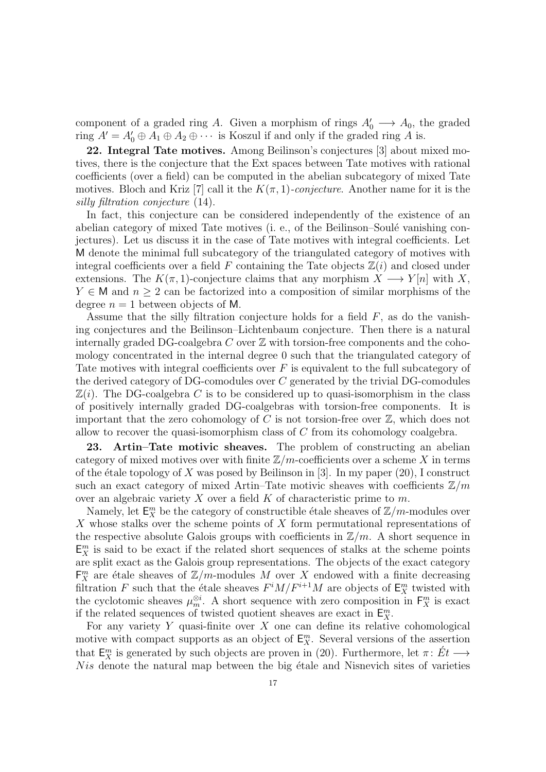component of a graded ring A. Given a morphism of rings  $A'_0 \longrightarrow A_0$ , the graded ring  $A' = A'_0 \oplus A_1 \oplus A_2 \oplus \cdots$  is Koszul if and only if the graded ring A is.

22. Integral Tate motives. Among Beilinson's conjectures [3] about mixed motives, there is the conjecture that the Ext spaces between Tate motives with rational coefficients (over a field) can be computed in the abelian subcategory of mixed Tate motives. Bloch and Kriz [7] call it the  $K(\pi, 1)$ -conjecture. Another name for it is the silly filtration conjecture (14).

In fact, this conjecture can be considered independently of the existence of an abelian category of mixed Tate motives  $(i, e, o)$ , of the Beilinson–Soulé vanishing conjectures). Let us discuss it in the case of Tate motives with integral coefficients. Let M denote the minimal full subcategory of the triangulated category of motives with integral coefficients over a field F containing the Tate objects  $\mathbb{Z}(i)$  and closed under extensions. The  $K(\pi, 1)$ -conjecture claims that any morphism  $X \longrightarrow Y[n]$  with X,  $Y \in M$  and  $n \geq 2$  can be factorized into a composition of similar morphisms of the degree  $n = 1$  between objects of M.

Assume that the silly filtration conjecture holds for a field  $F$ , as do the vanishing conjectures and the Beilinson–Lichtenbaum conjecture. Then there is a natural internally graded DG-coalgebra C over  $\mathbb Z$  with torsion-free components and the cohomology concentrated in the internal degree 0 such that the triangulated category of Tate motives with integral coefficients over  $F$  is equivalent to the full subcategory of the derived category of DG-comodules over C generated by the trivial DG-comodules  $\mathbb{Z}(i)$ . The DG-coalgebra C is to be considered up to quasi-isomorphism in the class of positively internally graded DG-coalgebras with torsion-free components. It is important that the zero cohomology of  $C$  is not torsion-free over  $\mathbb{Z}$ , which does not allow to recover the quasi-isomorphism class of C from its cohomology coalgebra.

23. Artin–Tate motivic sheaves. The problem of constructing an abelian category of mixed motives over with finite  $\mathbb{Z}/m$ -coefficients over a scheme X in terms of the étale topology of X was posed by Beilinson in [3]. In my paper  $(20)$ , I construct such an exact category of mixed Artin–Tate motivic sheaves with coefficients  $\mathbb{Z}/m$ over an algebraic variety  $X$  over a field  $K$  of characteristic prime to  $m$ .

Namely, let  $\mathsf{E}^m_X$  be the category of constructible étale sheaves of  $\mathbb{Z}/m$ -modules over X whose stalks over the scheme points of X form permutational representations of the respective absolute Galois groups with coefficients in  $\mathbb{Z}/m$ . A short sequence in  $\mathsf{E}_X^m$  is said to be exact if the related short sequences of stalks at the scheme points are split exact as the Galois group representations. The objects of the exact category  $\mathsf{F}^m_X$  are étale sheaves of  $\mathbb{Z}/m$ -modules M over X endowed with a finite decreasing filtration F such that the étale sheaves  $F^i M / F^{i+1} M$  are objects of  $\mathsf{E}^m_X$  twisted with the cyclotomic sheaves  $\mu_m^{\otimes i}$ . A short sequence with zero composition in  $\mathsf{F}_X^m$  is exact if the related sequences of twisted quotient sheaves are exact in  $\mathsf{E}^m_X$ .

For any variety  $Y$  quasi-finite over  $X$  one can define its relative cohomological motive with compact supports as an object of  $\mathsf{E}^m_X$ . Several versions of the assertion that  $\mathsf{E}_X^m$  is generated by such objects are proven in (20). Furthermore, let  $\pi: E_t \longrightarrow$  $Nis$  denote the natural map between the big étale and Nisnevich sites of varieties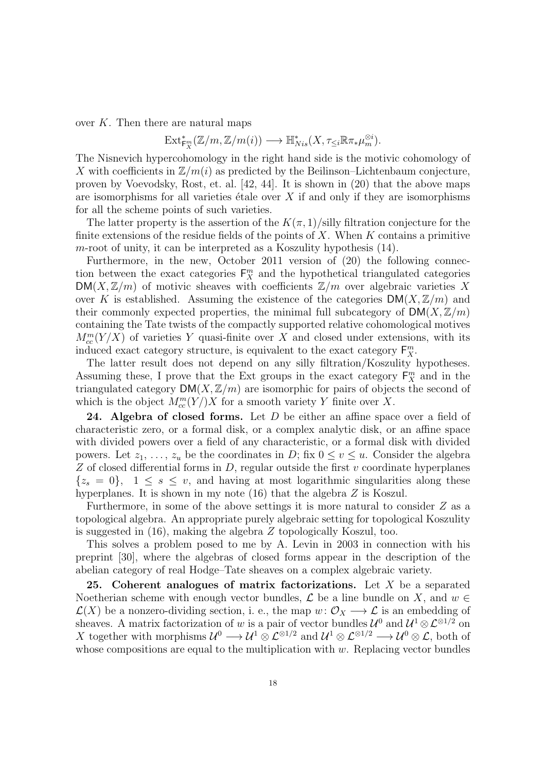over  $K$ . Then there are natural maps

$$
\mathrm{Ext}^*_{\mathbf{F}^m_X}(\mathbb{Z}/m,\mathbb{Z}/m(i)) \longrightarrow \mathbb{H}^*_{Nis}(X, \tau_{\leq i} \mathbb{R} \pi_* \mu_m^{\otimes i}).
$$

The Nisnevich hypercohomology in the right hand side is the motivic cohomology of X with coefficients in  $\mathbb{Z}/m(i)$  as predicted by the Beilinson–Lichtenbaum conjecture, proven by Voevodsky, Rost, et. al. [42, 44]. It is shown in (20) that the above maps are isomorphisms for all varieties étale over  $X$  if and only if they are isomorphisms for all the scheme points of such varieties.

The latter property is the assertion of the  $K(\pi,1)/$  silly filtration conjecture for the finite extensions of the residue fields of the points of  $X$ . When  $K$  contains a primitive m-root of unity, it can be interpreted as a Koszulity hypothesis  $(14)$ .

Furthermore, in the new, October 2011 version of (20) the following connection between the exact categories  $F_X^m$  and the hypothetical triangulated categories  $DM(X, \mathbb{Z}/m)$  of motivic sheaves with coefficients  $\mathbb{Z}/m$  over algebraic varieties X over K is established. Assuming the existence of the categories  $DM(X, \mathbb{Z}/m)$  and their commonly expected properties, the minimal full subcategory of  $DM(X, \mathbb{Z}/m)$ containing the Tate twists of the compactly supported relative cohomological motives  $M_{cc}^{m}(Y/X)$  of varieties Y quasi-finite over X and closed under extensions, with its induced exact category structure, is equivalent to the exact category  $\mathsf{F}_X^m$ .

The latter result does not depend on any silly filtration/Koszulity hypotheses. Assuming these, I prove that the Ext groups in the exact category  $F_X^m$  and in the triangulated category  $DM(X, \mathbb{Z}/m)$  are isomorphic for pairs of objects the second of which is the object  $M_{cc}^m(Y)/X$  for a smooth variety Y finite over X.

24. Algebra of closed forms. Let  $D$  be either an affine space over a field of characteristic zero, or a formal disk, or a complex analytic disk, or an affine space with divided powers over a field of any characteristic, or a formal disk with divided powers. Let  $z_1, \ldots, z_u$  be the coordinates in D; fix  $0 \le v \le u$ . Consider the algebra  $Z$  of closed differential forms in  $D$ , regular outside the first  $v$  coordinate hyperplanes  ${z<sub>s</sub> = 0}$ ,  $1 \leq s \leq v$ , and having at most logarithmic singularities along these hyperplanes. It is shown in my note (16) that the algebra Z is Koszul.

Furthermore, in some of the above settings it is more natural to consider Z as a topological algebra. An appropriate purely algebraic setting for topological Koszulity is suggested in (16), making the algebra Z topologically Koszul, too.

This solves a problem posed to me by A. Levin in 2003 in connection with his preprint [30], where the algebras of closed forms appear in the description of the abelian category of real Hodge–Tate sheaves on a complex algebraic variety.

25. Coherent analogues of matrix factorizations. Let  $X$  be a separated Noetherian scheme with enough vector bundles,  $\mathcal L$  be a line bundle on X, and  $w \in$  $\mathcal{L}(X)$  be a nonzero-dividing section, i. e., the map  $w: \mathcal{O}_X \longrightarrow \mathcal{L}$  is an embedding of sheaves. A matrix factorization of w is a pair of vector bundles  $\mathcal{U}^0$  and  $\mathcal{U}^1 \otimes \mathcal{L}^{\otimes 1/2}$  on X together with morphisms  $\mathcal{U}^0 \longrightarrow \mathcal{U}^1 \otimes \mathcal{L}^{\otimes 1/2}$  and  $\mathcal{U}^1 \otimes \mathcal{L}^{\otimes 1/2} \longrightarrow \mathcal{U}^0 \otimes \mathcal{L}$ , both of whose compositions are equal to the multiplication with  $w$ . Replacing vector bundles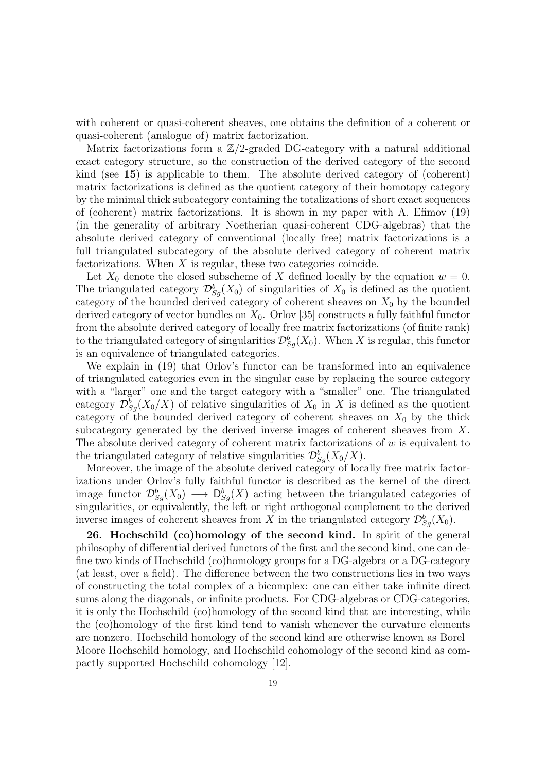with coherent or quasi-coherent sheaves, one obtains the definition of a coherent or quasi-coherent (analogue of) matrix factorization.

Matrix factorizations form a  $\mathbb{Z}/2$ -graded DG-category with a natural additional exact category structure, so the construction of the derived category of the second kind (see 15) is applicable to them. The absolute derived category of (coherent) matrix factorizations is defined as the quotient category of their homotopy category by the minimal thick subcategory containing the totalizations of short exact sequences of (coherent) matrix factorizations. It is shown in my paper with A. Efimov (19) (in the generality of arbitrary Noetherian quasi-coherent CDG-algebras) that the absolute derived category of conventional (locally free) matrix factorizations is a full triangulated subcategory of the absolute derived category of coherent matrix factorizations. When  $X$  is regular, these two categories coincide.

Let  $X_0$  denote the closed subscheme of X defined locally by the equation  $w = 0$ . The triangulated category  $\mathcal{D}_{S_g}^b(X_0)$  of singularities of  $X_0$  is defined as the quotient category of the bounded derived category of coherent sheaves on  $X_0$  by the bounded derived category of vector bundles on  $X_0$ . Orlov [35] constructs a fully faithful functor from the absolute derived category of locally free matrix factorizations (of finite rank) to the triangulated category of singularities  $\mathcal{D}_{Sg}^{b}(X_0)$ . When X is regular, this functor is an equivalence of triangulated categories.

We explain in (19) that Orlov's functor can be transformed into an equivalence of triangulated categories even in the singular case by replacing the source category with a "larger" one and the target category with a "smaller" one. The triangulated category  $\mathcal{D}_{S_g}^b(X_0/X)$  of relative singularities of  $X_0$  in X is defined as the quotient category of the bounded derived category of coherent sheaves on  $X_0$  by the thick subcategory generated by the derived inverse images of coherent sheaves from X. The absolute derived category of coherent matrix factorizations of  $w$  is equivalent to the triangulated category of relative singularities  $\mathcal{D}_{Sg}^{b}(X_0/X)$ .

Moreover, the image of the absolute derived category of locally free matrix factorizations under Orlov's fully faithful functor is described as the kernel of the direct image functor  $\mathcal{D}_{S_g}^b(X_0) \longrightarrow \mathcal{D}_{S_g}^b(X)$  acting between the triangulated categories of singularities, or equivalently, the left or right orthogonal complement to the derived inverse images of coherent sheaves from X in the triangulated category  $\mathcal{D}_{S_g}^b(X_0)$ .

26. Hochschild (co)homology of the second kind. In spirit of the general philosophy of differential derived functors of the first and the second kind, one can define two kinds of Hochschild (co)homology groups for a DG-algebra or a DG-category (at least, over a field). The difference between the two constructions lies in two ways of constructing the total complex of a bicomplex: one can either take infinite direct sums along the diagonals, or infinite products. For CDG-algebras or CDG-categories, it is only the Hochschild (co)homology of the second kind that are interesting, while the (co)homology of the first kind tend to vanish whenever the curvature elements are nonzero. Hochschild homology of the second kind are otherwise known as Borel– Moore Hochschild homology, and Hochschild cohomology of the second kind as compactly supported Hochschild cohomology [12].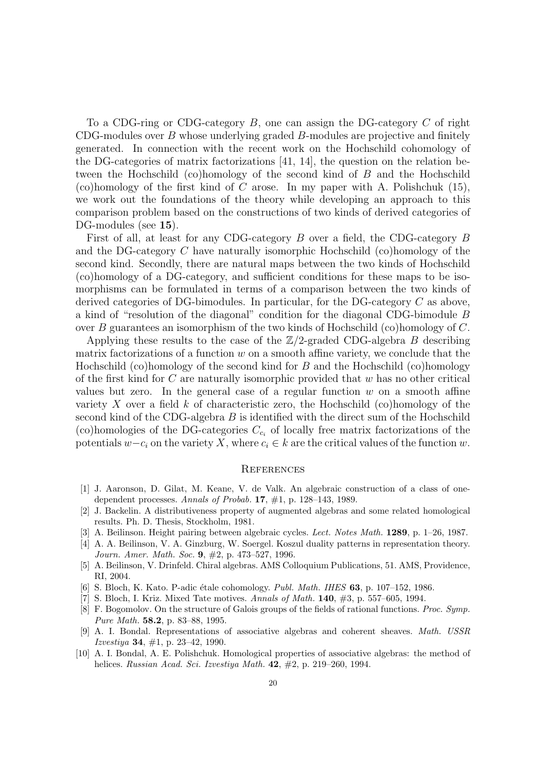To a CDG-ring or CDG-category  $B$ , one can assign the DG-category  $C$  of right CDG-modules over  $B$  whose underlying graded  $B$ -modules are projective and finitely generated. In connection with the recent work on the Hochschild cohomology of the DG-categories of matrix factorizations [41, 14], the question on the relation between the Hochschild (co)homology of the second kind of B and the Hochschild (co)homology of the first kind of C arose. In my paper with A. Polishchuk  $(15)$ , we work out the foundations of the theory while developing an approach to this comparison problem based on the constructions of two kinds of derived categories of DG-modules (see 15).

First of all, at least for any CDG-category B over a field, the CDG-category B and the DG-category C have naturally isomorphic Hochschild (co)homology of the second kind. Secondly, there are natural maps between the two kinds of Hochschild (co)homology of a DG-category, and sufficient conditions for these maps to be isomorphisms can be formulated in terms of a comparison between the two kinds of derived categories of DG-bimodules. In particular, for the DG-category C as above, a kind of "resolution of the diagonal" condition for the diagonal CDG-bimodule B over B guarantees an isomorphism of the two kinds of Hochschild (co)homology of C.

Applying these results to the case of the  $\mathbb{Z}/2$ -graded CDG-algebra B describing matrix factorizations of a function  $w$  on a smooth affine variety, we conclude that the Hochschild (co)homology of the second kind for  $B$  and the Hochschild (co)homology of the first kind for  $C$  are naturally isomorphic provided that  $w$  has no other critical values but zero. In the general case of a regular function  $w$  on a smooth affine variety X over a field  $k$  of characteristic zero, the Hochschild (co)homology of the second kind of the CDG-algebra B is identified with the direct sum of the Hochschild (co)homologies of the DG-categories  $C_{c_i}$  of locally free matrix factorizations of the potentials  $w-c_i$  on the variety X, where  $c_i \in k$  are the critical values of the function w.

#### **REFERENCES**

- [1] J. Aaronson, D. Gilat, M. Keane, V. de Valk. An algebraic construction of a class of onedependent processes. Annals of Probab. 17, #1, p. 128–143, 1989.
- [2] J. Backelin. A distributiveness property of augmented algebras and some related homological results. Ph. D. Thesis, Stockholm, 1981.
- [3] A. Beilinson. Height pairing between algebraic cycles. Lect. Notes Math. 1289, p. 1–26, 1987.
- [4] A. A. Beilinson, V. A. Ginzburg, W. Soergel. Koszul duality patterns in representation theory. Journ. Amer. Math. Soc. 9, #2, p. 473–527, 1996.
- [5] A. Beilinson, V. Drinfeld. Chiral algebras. AMS Colloquium Publications, 51. AMS, Providence, RI, 2004.
- [6] S. Bloch, K. Kato. P-adic étale cohomology. *Publ. Math. IHES*  $63$ , p. 107–152, 1986.
- [7] S. Bloch, I. Kriz. Mixed Tate motives. Annals of Math. 140, #3, p. 557–605, 1994.
- [8] F. Bogomolov. On the structure of Galois groups of the fields of rational functions. Proc. Symp. Pure Math. 58.2, p. 83–88, 1995.
- [9] A. I. Bondal. Representations of associative algebras and coherent sheaves. Math. USSR *Izvestiya* **34**,  $\#1$ , p. 23–42, 1990.
- [10] A. I. Bondal, A. E. Polishchuk. Homological properties of associative algebras: the method of helices. Russian Acad. Sci. Izvestiya Math.  $42, \#2, p. 219-260, 1994$ .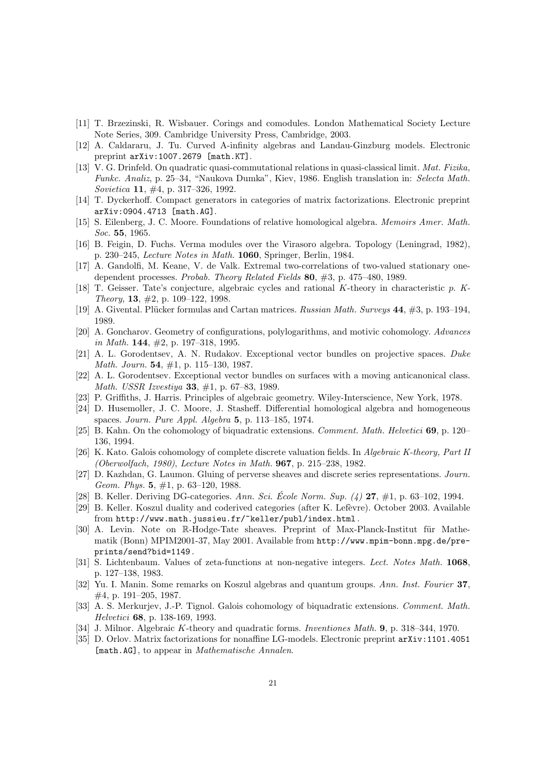- [11] T. Brzezinski, R. Wisbauer. Corings and comodules. London Mathematical Society Lecture Note Series, 309. Cambridge University Press, Cambridge, 2003.
- [12] A. Caldararu, J. Tu. Curved A-infinity algebras and Landau-Ginzburg models. Electronic preprint arXiv:1007.2679 [math.KT].
- [13] V. G. Drinfeld. On quadratic quasi-commutational relations in quasi-classical limit. Mat. Fizika, Funkc. Analiz, p. 25–34, "Naukova Dumka", Kiev, 1986. English translation in: Selecta Math. Sovietica 11, #4, p. 317–326, 1992.
- [14] T. Dyckerhoff. Compact generators in categories of matrix factorizations. Electronic preprint arXiv:0904.4713 [math.AG].
- [15] S. Eilenberg, J. C. Moore. Foundations of relative homological algebra. Memoirs Amer. Math. Soc. 55, 1965.
- [16] B. Feigin, D. Fuchs. Verma modules over the Virasoro algebra. Topology (Leningrad, 1982), p. 230–245, Lecture Notes in Math. 1060, Springer, Berlin, 1984.
- [17] A. Gandolfi, M. Keane, V. de Valk. Extremal two-correlations of two-valued stationary onedependent processes. Probab. Theory Related Fields 80, #3, p. 475–480, 1989.
- [18] T. Geisser. Tate's conjecture, algebraic cycles and rational K-theory in characteristic p. K-Theory, 13, #2, p. 109–122, 1998.
- [19] A. Givental. Plücker formulas and Cartan matrices. Russian Math. Surveys 44, #3, p. 193–194, 1989.
- [20] A. Goncharov. Geometry of configurations, polylogarithms, and motivic cohomology. Advances in Math. 144, #2, p. 197–318, 1995.
- [21] A. L. Gorodentsev, A. N. Rudakov. Exceptional vector bundles on projective spaces. Duke Math. Journ. 54, #1, p. 115–130, 1987.
- [22] A. L. Gorodentsev. Exceptional vector bundles on surfaces with a moving anticanonical class. Math. USSR Izvestiya 33, #1, p. 67–83, 1989.
- [23] P. Griffiths, J. Harris. Principles of algebraic geometry. Wiley-Interscience, New York, 1978.
- [24] D. Husemoller, J. C. Moore, J. Stasheff. Differential homological algebra and homogeneous spaces. Journ. Pure Appl. Algebra 5, p. 113–185, 1974.
- [25] B. Kahn. On the cohomology of biquadratic extensions. Comment. Math. Helvetici 69, p. 120– 136, 1994.
- [26] K. Kato. Galois cohomology of complete discrete valuation fields. In Algebraic K-theory, Part II (Oberwolfach, 1980), Lecture Notes in Math. 967, p. 215–238, 1982.
- [27] D. Kazhdan, G. Laumon. Gluing of perverse sheaves and discrete series representations. Journ. Geom. Phys. 5, #1, p. 63–120, 1988.
- [28] B. Keller. Deriving DG-categories. Ann. Sci. École Norm. Sup.  $(4)$  27, #1, p. 63–102, 1994.
- [29] B. Keller. Koszul duality and coderived categories (after K. Lefèvre). October 2003. Available from http://www.math.jussieu.fr/~keller/publ/index.html .
- [30] A. Levin. Note on R-Hodge-Tate sheaves. Preprint of Max-Planck-Institut für Mathematik (Bonn) MPIM2001-37, May 2001. Available from http://www.mpim-bonn.mpg.de/preprints/send?bid=1149 .
- [31] S. Lichtenbaum. Values of zeta-functions at non-negative integers. Lect. Notes Math. 1068, p. 127–138, 1983.
- [32] Yu. I. Manin. Some remarks on Koszul algebras and quantum groups. Ann. Inst. Fourier 37, #4, p. 191–205, 1987.
- [33] A. S. Merkurjev, J.-P. Tignol. Galois cohomology of biquadratic extensions. Comment. Math. Helvetici 68, p. 138-169, 1993.
- [34] J. Milnor. Algebraic K-theory and quadratic forms. *Inventiones Math.* 9, p. 318–344, 1970.
- [35] D. Orlov. Matrix factorizations for nonaffine LG-models. Electronic preprint arXiv:1101.4051 [math.AG], to appear in *Mathematische Annalen*.